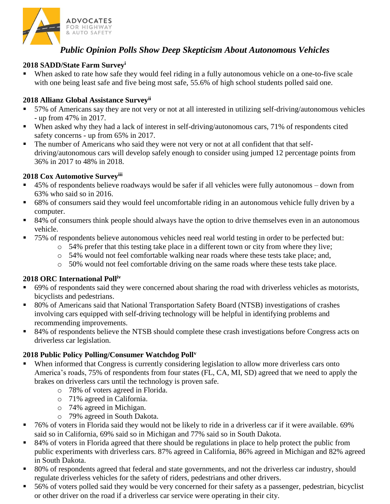

# *Public Opinion Polls Show Deep Skepticism About Autonomous Vehicles*

#### **2018 SADD/State Farm Survey<sup>i</sup>**

When asked to rate how safe they would feel riding in a fully autonomous vehicle on a one-to-five scale with one being least safe and five being most safe, 55.6% of high school students polled said one.

#### **2018 Allianz Global Assistance Surveyii**

- 57% of Americans say they are not very or not at all interested in utilizing self-driving/autonomous vehicles - up from 47% in 2017.
- When asked why they had a lack of interest in self-driving/autonomous cars, 71% of respondents cited safety concerns - up from 65% in 2017.
- **The number of Americans who said they were not very or not at all confident that that self**driving/autonomous cars will develop safely enough to consider using jumped 12 percentage points from 36% in 2017 to 48% in 2018.

#### **2018 Cox Automotive Surveyiii**

- 45% of respondents believe roadways would be safer if all vehicles were fully autonomous down from 63% who said so in 2016.
- 68% of consumers said they would feel uncomfortable riding in an autonomous vehicle fully driven by a computer.
- 84% of consumers think people should always have the option to drive themselves even in an autonomous vehicle.
- 75% of respondents believe autonomous vehicles need real world testing in order to be perfected but:
	- o 54% prefer that this testing take place in a different town or city from where they live;
	- o 54% would not feel comfortable walking near roads where these tests take place; and,
	- o 50% would not feel comfortable driving on the same roads where these tests take place.

#### **2018 ORC International Polliv**

- 69% of respondents said they were concerned about sharing the road with driverless vehicles as motorists, bicyclists and pedestrians.
- 80% of Americans said that National Transportation Safety Board (NTSB) investigations of crashes involving cars equipped with self-driving technology will be helpful in identifying problems and recommending improvements.
- 84% of respondents believe the NTSB should complete these crash investigations before Congress acts on driverless car legislation.

#### **2018 Public Policy Polling/Consumer Watchdog Poll<sup>v</sup>**

- When informed that Congress is currently considering legislation to allow more driverless cars onto America's roads, 75% of respondents from four states (FL, CA, MI, SD) agreed that we need to apply the brakes on driverless cars until the technology is proven safe.
	- o 78% of voters agreed in Florida.
	- o 71% agreed in California.
	- o 74% agreed in Michigan.
	- o 79% agreed in South Dakota.
- 76% of voters in Florida said they would not be likely to ride in a driverless car if it were available. 69% said so in California, 69% said so in Michigan and 77% said so in South Dakota.
- 84% of voters in Florida agreed that there should be regulations in place to help protect the public from public experiments with driverless cars. 87% agreed in California, 86% agreed in Michigan and 82% agreed in South Dakota.
- 80% of respondents agreed that federal and state governments, and not the driverless car industry, should regulate driverless vehicles for the safety of riders, pedestrians and other drivers.
- 56% of voters polled said they would be very concerned for their safety as a passenger, pedestrian, bicyclist or other driver on the road if a driverless car service were operating in their city.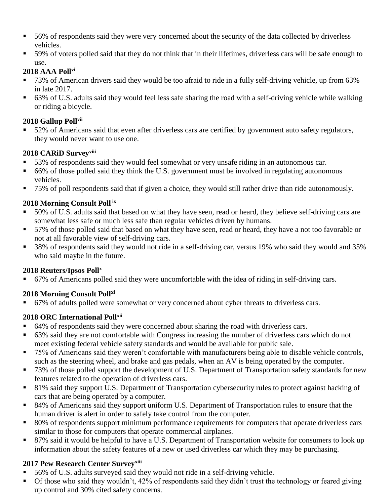- 56% of respondents said they were very concerned about the security of the data collected by driverless vehicles.
- 59% of voters polled said that they do not think that in their lifetimes, driverless cars will be safe enough to use.

#### **2018 AAA Pollvi**

- 73% of American drivers said they would be too afraid to ride in a fully self-driving vehicle, up from 63% in late 2017.
- 63% of U.S. adults said they would feel less safe sharing the road with a self-driving vehicle while walking or riding a bicycle.

## **2018 Gallup Pollvii**

■ 52% of Americans said that even after driverless cars are certified by government auto safety regulators, they would never want to use one.

## **2018 CARiD Surveyviii**

- 53% of respondents said they would feel somewhat or very unsafe riding in an autonomous car.
- 66% of those polled said they think the U.S. government must be involved in regulating autonomous vehicles.
- 75% of poll respondents said that if given a choice, they would still rather drive than ride autonomously.

## **2018 Morning Consult Poll ix**

- 50% of U.S. adults said that based on what they have seen, read or heard, they believe self-driving cars are somewhat less safe or much less safe than regular vehicles driven by humans.
- 57% of those polled said that based on what they have seen, read or heard, they have a not too favorable or not at all favorable view of self-driving cars.
- 38% of respondents said they would not ride in a self-driving car, versus 19% who said they would and 35% who said maybe in the future.

## **2018 Reuters/Ipsos Poll<sup>x</sup>**

67% of Americans polled said they were uncomfortable with the idea of riding in self-driving cars.

## **2018 Morning Consult Pollxi**

▪ 67% of adults polled were somewhat or very concerned about cyber threats to driverless cars.

## **2018 ORC International Pollxii**

- 64% of respondents said they were concerned about sharing the road with driverless cars.
- 63% said they are not comfortable with Congress increasing the number of driverless cars which do not meet existing federal vehicle safety standards and would be available for public sale.
- 75% of Americans said they weren't comfortable with manufacturers being able to disable vehicle controls, such as the steering wheel, and brake and gas pedals, when an AV is being operated by the computer.
- 73% of those polled support the development of U.S. Department of Transportation safety standards for new features related to the operation of driverless cars.
- 81% said they support U.S. Department of Transportation cybersecurity rules to protect against hacking of cars that are being operated by a computer.
- 84% of Americans said they support uniform U.S. Department of Transportation rules to ensure that the human driver is alert in order to safely take control from the computer.
- 80% of respondents support minimum performance requirements for computers that operate driverless cars similar to those for computers that operate commercial airplanes.
- 87% said it would be helpful to have a U.S. Department of Transportation website for consumers to look up information about the safety features of a new or used driverless car which they may be purchasing.

# **2017 Pew Research Center Surveyxiii**

- 56% of U.S. adults surveyed said they would not ride in a self-driving vehicle.
- Of those who said they wouldn't, 42% of respondents said they didn't trust the technology or feared giving up control and 30% cited safety concerns.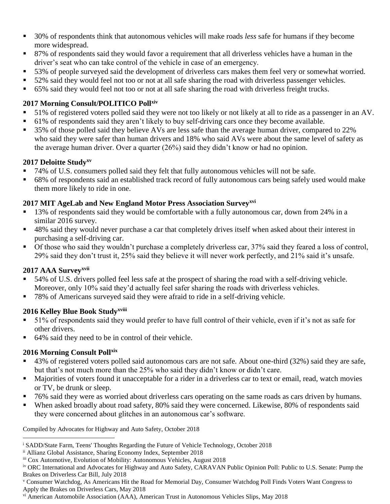- 30% of respondents think that autonomous vehicles will make roads *less* safe for humans if they become more widespread.
- 87% of respondents said they would favor a requirement that all driverless vehicles have a human in the driver's seat who can take control of the vehicle in case of an emergency.
- 53% of people surveyed said the development of driverless cars makes them feel very or somewhat worried.
- 52% said they would feel not too or not at all safe sharing the road with driverless passenger vehicles.
- 65% said they would feel not too or not at all safe sharing the road with driverless freight trucks.

## **2017 Morning Consult/POLITICO Pollxiv**

- 51% of registered voters polled said they were not too likely or not likely at all to ride as a passenger in an AV.
- 61% of respondents said they aren't likely to buy self-driving cars once they become available.
- 35% of those polled said they believe AVs are less safe than the average human driver, compared to 22% who said they were safer than human drivers and 18% who said AVs were about the same level of safety as the average human driver. Over a quarter (26%) said they didn't know or had no opinion.

#### **2017 Deloitte Studyxv**

- 74% of U.S. consumers polled said they felt that fully autonomous vehicles will not be safe.
- 68% of respondents said an established track record of fully autonomous cars being safely used would make them more likely to ride in one.

## **2017 MIT AgeLab and New England Motor Press Association Surveyxvi**

- 13% of respondents said they would be comfortable with a fully autonomous car, down from 24% in a similar 2016 survey.
- 48% said they would never purchase a car that completely drives itself when asked about their interest in purchasing a self-driving car.
- Of those who said they wouldn't purchase a completely driverless car, 37% said they feared a loss of control, 29% said they don't trust it, 25% said they believe it will never work perfectly, and 21% said it's unsafe.

## **2017 AAA Surveyxvii**

- 54% of U.S. drivers polled feel less safe at the prospect of sharing the road with a self-driving vehicle. Moreover, only 10% said they'd actually feel safer sharing the roads with driverless vehicles.
- 78% of Americans surveyed said they were afraid to ride in a self-driving vehicle.

## **2016 Kelley Blue Book Studyxviii**

- 51% of respondents said they would prefer to have full control of their vehicle, even if it's not as safe for other drivers.
- 64% said they need to be in control of their vehicle.

## **2016 Morning Consult Pollxix**

- 43% of registered voters polled said autonomous cars are not safe. About one-third (32%) said they are safe, but that's not much more than the 25% who said they didn't know or didn't care.
- Majorities of voters found it unacceptable for a rider in a driverless car to text or email, read, watch movies or TV, be drunk or sleep.
- 76% said they were as worried about driverless cars operating on the same roads as cars driven by humans.
- When asked broadly about road safety, 80% said they were concerned. Likewise, 80% of respondents said they were concerned about glitches in an autonomous car's software.

Compiled by Advocates for Highway and Auto Safety, October 2018

<sup>i</sup> SADD/State Farm, Teens' Thoughts Regarding the Future of Vehicle Technology, October 2018  $\overline{a}$ 

ii Allianz Global Assistance, Sharing Economy Index, September 2018

iii Cox Automotive, Evolution of Mobility: Autonomous Vehicles, August 2018

iv ORC International and Advocates for Highway and Auto Safety, CARAVAN Public Opinion Poll: Public to U.S. Senate: Pump the Brakes on Driverless Car Bill, July 2018

<sup>v</sup> Consumer Watchdog, As Americans Hit the Road for Memorial Day, Consumer Watchdog Poll Finds Voters Want Congress to Apply the Brakes on Driverless Cars, May 2018

vi American Automobile Association (AAA), American Trust in Autonomous Vehicles Slips, May 2018